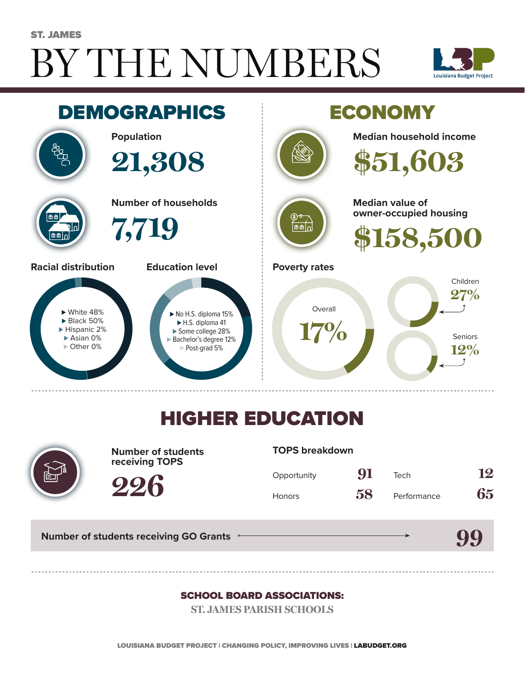# BY THE NUMBERS ST. JAMES





## HIGHER EDUCATION



**Number of students receiving TOPS**

#### **TOPS breakdown**

| Opportunity   | 91 | Tech        | 12 |
|---------------|----|-------------|----|
| <b>Honors</b> | 58 | Performance | 65 |

**99**

**Number of students receiving GO Grants**

**226**

#### SCHOOL BOARD ASSOCIATIONS:

**ST. JAMES PARISH SCHOOLS**